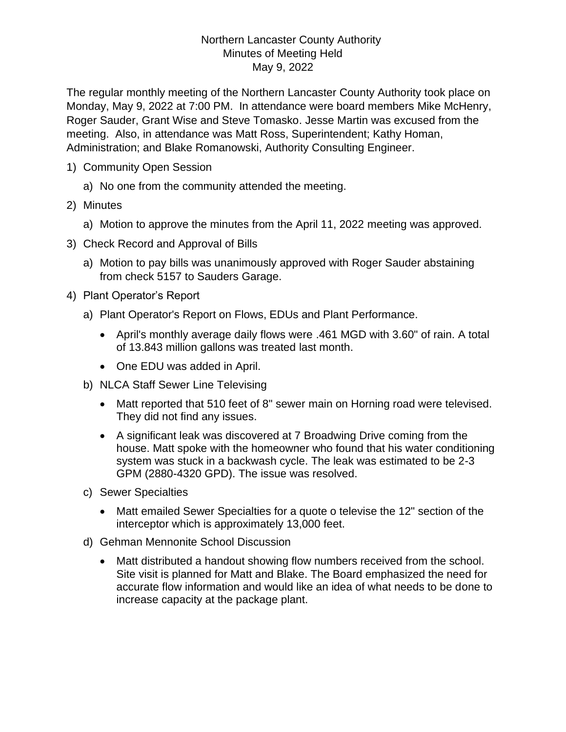## Northern Lancaster County Authority Minutes of Meeting Held May 9, 2022

The regular monthly meeting of the Northern Lancaster County Authority took place on Monday, May 9, 2022 at 7:00 PM. In attendance were board members Mike McHenry, Roger Sauder, Grant Wise and Steve Tomasko. Jesse Martin was excused from the meeting. Also, in attendance was Matt Ross, Superintendent; Kathy Homan, Administration; and Blake Romanowski, Authority Consulting Engineer.

- 1) Community Open Session
	- a) No one from the community attended the meeting.
- 2) Minutes
	- a) Motion to approve the minutes from the April 11, 2022 meeting was approved.
- 3) Check Record and Approval of Bills
	- a) Motion to pay bills was unanimously approved with Roger Sauder abstaining from check 5157 to Sauders Garage.
- 4) Plant Operator's Report
	- a) Plant Operator's Report on Flows, EDUs and Plant Performance.
		- April's monthly average daily flows were .461 MGD with 3.60" of rain. A total of 13.843 million gallons was treated last month.
		- One EDU was added in April.
	- b) NLCA Staff Sewer Line Televising
		- Matt reported that 510 feet of 8" sewer main on Horning road were televised. They did not find any issues.
		- A significant leak was discovered at 7 Broadwing Drive coming from the house. Matt spoke with the homeowner who found that his water conditioning system was stuck in a backwash cycle. The leak was estimated to be 2-3 GPM (2880-4320 GPD). The issue was resolved.
	- c) Sewer Specialties
		- Matt emailed Sewer Specialties for a quote o televise the 12" section of the interceptor which is approximately 13,000 feet.
	- d) Gehman Mennonite School Discussion
		- Matt distributed a handout showing flow numbers received from the school. Site visit is planned for Matt and Blake. The Board emphasized the need for accurate flow information and would like an idea of what needs to be done to increase capacity at the package plant.